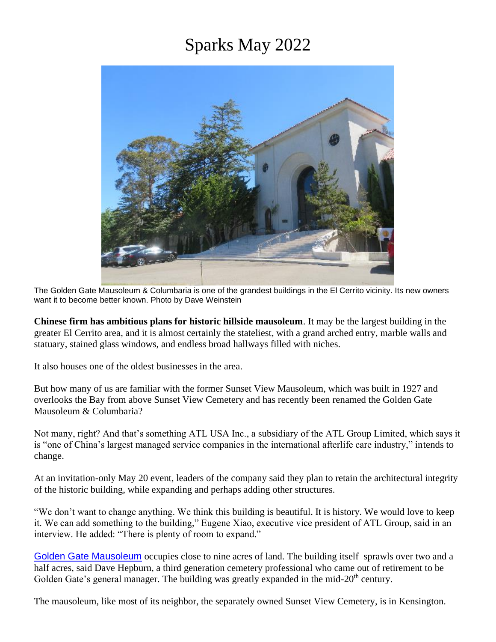## Sparks May 2022



The Golden Gate Mausoleum & Columbaria is one of the grandest buildings in the El Cerrito vicinity. Its new owners want it to become better known. Photo by Dave Weinstein

**Chinese firm has ambitious plans for historic hillside mausoleum**. It may be the largest building in the greater El Cerrito area, and it is almost certainly the stateliest, with a grand arched entry, marble walls and statuary, stained glass windows, and endless broad hallways filled with niches.

It also houses one of the oldest businesses in the area.

But how many of us are familiar with the former Sunset View Mausoleum, which was built in 1927 and overlooks the Bay from above Sunset View Cemetery and has recently been renamed the Golden Gate Mausoleum & Columbaria?

Not many, right? And that's something ATL USA Inc., a subsidiary of the ATL Group Limited, which says it is "one of China's largest managed service companies in the international afterlife care industry," intends to change.

At an invitation-only May 20 event, leaders of the company said they plan to retain the architectural integrity of the historic building, while expanding and perhaps adding other structures.

"We don't want to change anything. We think this building is beautiful. It is history. We would love to keep it. We can add something to the building," Eugene Xiao, executive vice president of ATL Group, said in an interview. He added: "There is plenty of room to expand."

[Golden Gate Mausoleum](https://www.ggmc.life/) occupies close to nine acres of land. The building itself sprawls over two and a half acres, said Dave Hepburn, a third generation cemetery professional who came out of retirement to be Golden Gate's general manager. The building was greatly expanded in the mid- $20<sup>th</sup>$  century.

The mausoleum, like most of its neighbor, the separately owned Sunset View Cemetery, is in Kensington.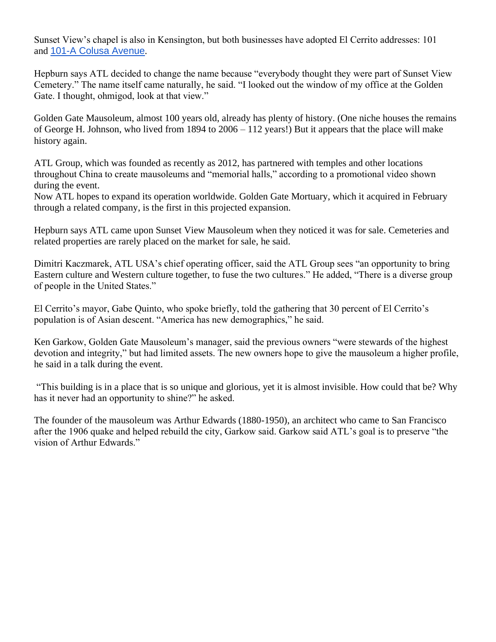Sunset View's chapel is also in Kensington, but both businesses have adopted El Cerrito addresses: 101 and [101-A Colusa Avenue](https://www.google.com/maps/search/101-A+Colusa+Avenue?entry=gmail&source=g).

Hepburn says ATL decided to change the name because "everybody thought they were part of Sunset View Cemetery." The name itself came naturally, he said. "I looked out the window of my office at the Golden Gate. I thought, ohmigod, look at that view."

Golden Gate Mausoleum, almost 100 years old, already has plenty of history. (One niche houses the remains of George H. Johnson, who lived from 1894 to 2006 – 112 years!) But it appears that the place will make history again.

ATL Group, which was founded as recently as 2012, has partnered with temples and other locations throughout China to create mausoleums and "memorial halls," according to a promotional video shown during the event.

Now ATL hopes to expand its operation worldwide. Golden Gate Mortuary, which it acquired in February through a related company, is the first in this projected expansion.

Hepburn says ATL came upon Sunset View Mausoleum when they noticed it was for sale. Cemeteries and related properties are rarely placed on the market for sale, he said.

Dimitri Kaczmarek, ATL USA's chief operating officer, said the ATL Group sees "an opportunity to bring Eastern culture and Western culture together, to fuse the two cultures." He added, "There is a diverse group of people in the United States."

El Cerrito's mayor, Gabe Quinto, who spoke briefly, told the gathering that 30 percent of El Cerrito's population is of Asian descent. "America has new demographics," he said.

Ken Garkow, Golden Gate Mausoleum's manager, said the previous owners "were stewards of the highest devotion and integrity," but had limited assets. The new owners hope to give the mausoleum a higher profile, he said in a talk during the event.

"This building is in a place that is so unique and glorious, yet it is almost invisible. How could that be? Why has it never had an opportunity to shine?" he asked.

The founder of the mausoleum was Arthur Edwards (1880-1950), an architect who came to San Francisco after the 1906 quake and helped rebuild the city, Garkow said. Garkow said ATL's goal is to preserve "the vision of Arthur Edwards."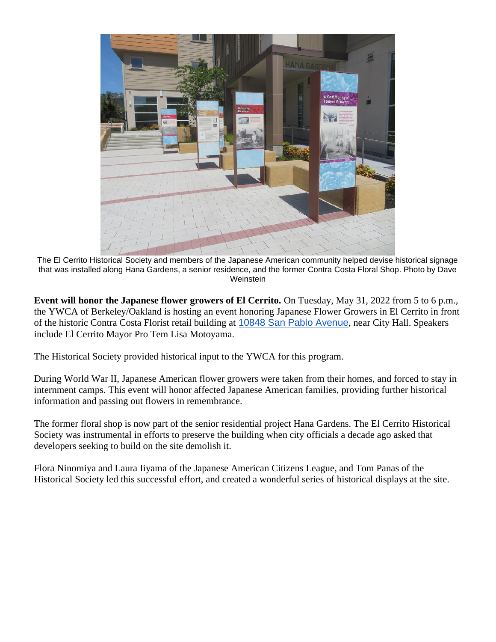

The El Cerrito Historical Society and members of the Japanese American community helped devise historical signage that was installed along Hana Gardens, a senior residence, and the former Contra Costa Floral Shop. Photo by Dave **Weinstein** 

**Event will honor the Japanese flower growers of El Cerrito.** On Tuesday, May 31, 2022 from 5 to 6 p.m., the YWCA of Berkeley/Oakland is hosting an event honoring Japanese Flower Growers in El Cerrito in front of the historic Contra Costa Florist retail building at [10848 San Pablo Avenue](https://www.google.com/maps/search/10848+San+Pablo+Avenue?entry=gmail&source=g), near City Hall. Speakers include El Cerrito Mayor Pro Tem Lisa Motoyama.

The Historical Society provided historical input to the YWCA for this program.

During World War II, Japanese American flower growers were taken from their homes, and forced to stay in internment camps. This event will honor affected Japanese American families, providing further historical information and passing out flowers in remembrance.

The former floral shop is now part of the senior residential project Hana Gardens. The El Cerrito Historical Society was instrumental in efforts to preserve the building when city officials a decade ago asked that developers seeking to build on the site demolish it.

Flora Ninomiya and Laura Iiyama of the Japanese American Citizens League, and Tom Panas of the Historical Society led this successful effort, and created a wonderful series of historical displays at the site.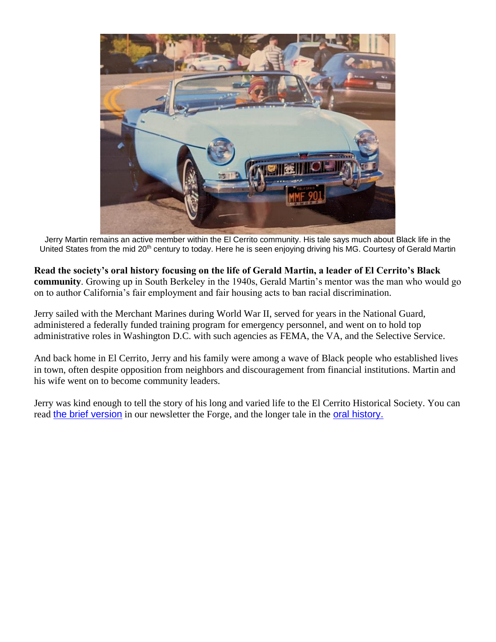![](_page_3_Picture_0.jpeg)

Jerry Martin remains an active member within the El Cerrito community. His tale says much about Black life in the United States from the mid 20<sup>th</sup> century to today. Here he is seen enjoying driving his MG. Courtesy of Gerald Martin

**Read the society's oral history focusing on the life of Gerald Martin, a leader of El Cerrito's Black community**. Growing up in South Berkeley in the 1940s, Gerald Martin's mentor was the man who would go on to author California's fair employment and fair housing acts to ban racial discrimination.

Jerry sailed with the Merchant Marines during World War II, served for years in the National Guard, administered a federally funded training program for emergency personnel, and went on to hold top administrative roles in Washington D.C. with such agencies as FEMA, the VA, and the Selective Service.

And back home in El Cerrito, Jerry and his family were among a wave of Black people who established lives in town, often despite opposition from neighbors and discouragement from financial institutions. Martin and his wife went on to become community leaders.

Jerry was kind enough to tell the story of his long and varied life to the El Cerrito Historical Society. You can read [the brief version](http://elcerritohistoricalsociety.org/forge/forgespring2022.pdf) in our newsletter the Forge, and the longer tale in the **oral history**.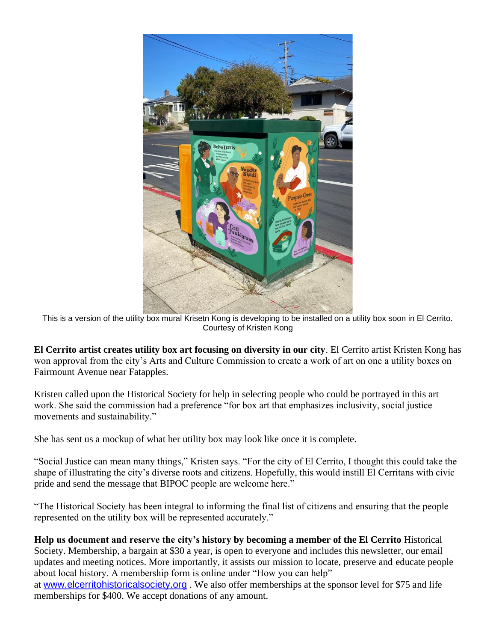![](_page_4_Picture_0.jpeg)

This is a version of the utility box mural Krisetn Kong is developing to be installed on a utility box soon in El Cerrito. Courtesy of Kristen Kong

**El Cerrito artist creates utility box art focusing on diversity in our city**. El Cerrito artist Kristen Kong has won approval from the city's Arts and Culture Commission to create a work of art on one a utility boxes on Fairmount Avenue near Fatapples.

Kristen called upon the Historical Society for help in selecting people who could be portrayed in this art work. She said the commission had a preference "for box art that emphasizes inclusivity, social justice movements and sustainability."

She has sent us a mockup of what her utility box may look like once it is complete.

"Social Justice can mean many things," Kristen says. "For the city of El Cerrito, I thought this could take the shape of illustrating the city's diverse roots and citizens. Hopefully, this would instill El Cerritans with civic pride and send the message that BIPOC people are welcome here."

"The Historical Society has been integral to informing the final list of citizens and ensuring that the people represented on the utility box will be represented accurately."

**Help us document and reserve the city's history by becoming a member of the El Cerrito** Historical Society. Membership, a bargain at \$30 a year, is open to everyone and includes this newsletter, our email updates and meeting notices. More importantly, it assists our mission to locate, preserve and educate people about local history. A membership form is online under "How you can help" at [www.elcerritohistoricalsociety.org](http://www.elcerritohistoricalsociety.org/) . We also offer memberships at the sponsor level for \$75 and life memberships for \$400. We accept donations of any amount.